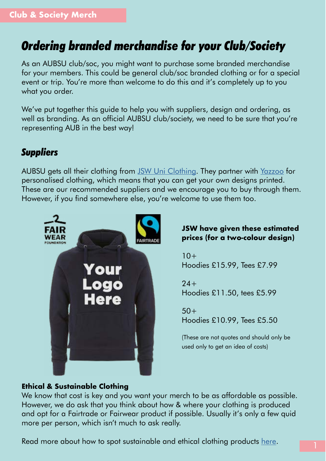# *Ordering branded merchandise for your Club/Society*

As an AUBSU club/soc, you might want to purchase some branded merchandise for your members. This could be general club/soc branded clothing or for a special event or trip. You're more than welcome to do this and it's completely up to you what you order.

We've put together this guide to help you with suppliers, design and ordering, as well as branding. As an official AUBSU club/society, we need to be sure that you're representing AUB in the best way!

## *Suppliers*

AUBSU gets all their clothing from [JSW Uni Clothing](http://aubsu.universityhoodies.org/Myshop.aspx). They partner with [Yazzoo](https://personalised.clothing/page/home) for personalised clothing, which means that you can get your own designs printed. These are our recommended suppliers and we encourage you to buy through them. However, if you find somewhere else, you're welcome to use them too.



#### **JSW have given these estimated prices (for a two-colour design)**

 $10+$ Hoodies £15.99, Tees £7.99

 $24+$ Hoodies £11.50, tees £5.99

 $50+$ Hoodies £10.99, Tees £5.50

(These are not quotes and should only be used only to get an idea of costs)

#### **Ethical & Sustainable Clothing**

We know that cost is key and you want your merch to be as affordable as possible. However, we do ask that you think about how & where your clothing is produced and opt for a Fairtrade or Fairwear product if possible. Usually it's only a few quid more per person, which isn't much to ask really.

Read more about how to spot sustainable and ethical clothing products [here](https://www.fashion-conscience.com/key-to-symbols).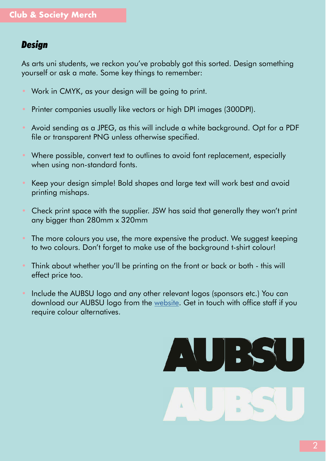### *Design*

As arts uni students, we reckon you've probably got this sorted. Design something yourself or ask a mate. Some key things to remember:

- Work in CMYK, as your design will be going to print.
- Printer companies usually like vectors or high DPI images (300DPI).
- Avoid sending as a JPEG, as this will include a white background. Opt for a PDF file or transparent PNG unless otherwise specified.
- Where possible, convert text to outlines to avoid font replacement, especially when using non-standard fonts.
- Keep your design simple! Bold shapes and large text will work best and avoid printing mishaps.
- Check print space with the supplier. JSW has said that generally they won't print any bigger than 280mm x 320mm
- The more colours you use, the more expensive the product. We suggest keeping to two colours. Don't forget to make use of the background t-shirt colour!
- Think about whether you'll be printing on the front or back or both this will effect price too.
- Include the AUBSU logo and any other relevant logos (sponsors etc.) You can download our AUBSU logo from the [website.](https://www.aubsu.co.uk/activities/useful_documents/) Get in touch with office staff if you require colour alternatives.